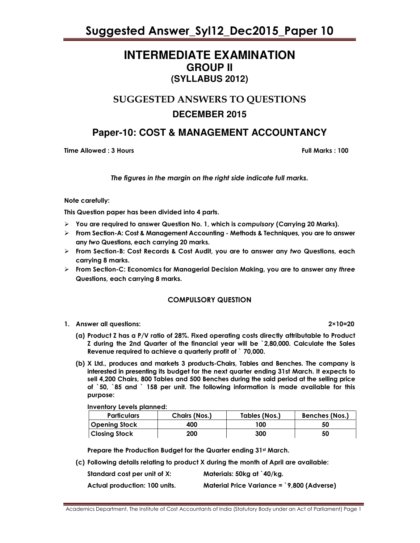### **INTERMEDIATE EXAMINATION GROUP II (SYLLABUS 2012)**

### SUGGESTED ANSWERS TO QUESTIONS **DECEMBER 2015**

### **Paper-10: COST & MANAGEMENT ACCOUNTANCY**

Time Allowed : 3 Hours Full Marks : 100

The figures in the margin on the right side indicate full marks.

#### Note carefully:

This Question paper has been divided into 4 parts.

- $\triangleright$  You are required to answer Question No. 1, which is compulsory (Carrying 20 Marks).
- $\triangleright$  From Section-A: Cost & Management Accounting Methods & Techniques, you are to answer any two Questions, each carrying 20 marks.
- $\triangleright$  From Section-B: Cost Records & Cost Audit, you are to answer any two Questions, each carrying 8 marks.
- $\triangleright$  From Section-C: Economics for Managerial Decision Making, you are to answer any three Questions, each carrying 8 marks.

#### COMPULSORY QUESTION

1. Answer all questions: 2×10=20

- (a) Product Z has a P/V ratio of 28%. Fixed operating costs directly attributable to Product Z during the 2nd Quarter of the financial year will be `2,80,000. Calculate the Sales Revenue required to achieve a quarterly profit of ` 70,000.
- (b) X Ltd., produces and markets 3 products-Chairs, Tables and Benches. The company is interested in presenting its budget for the next quarter ending 31st March. It expects to sell 4,200 Chairs, 800 Tables and 500 Benches during the said period at the selling price of `50, `85 and ` 158 per unit. The following information is made available for this purpose:

Inventory Levels planned:

| <b>Particulars</b>   | Chairs (Nos.) | Tables (Nos.) | <b>Benches (Nos.)</b> |
|----------------------|---------------|---------------|-----------------------|
| <b>Opening Stock</b> | 400           | 100           | 50                    |
| <b>Closing Stock</b> | 200           | 300           | 50                    |

Prepare the Production Budget for the Quarter ending 31st March.

(c) Following details relating to product X during the month of April are available:

| Standard cost per unit of X:  | Materials: 50kg at `40/kg.                          |
|-------------------------------|-----------------------------------------------------|
| Actual production: 100 units. | Material Price Variance = $\degree$ 9,800 (Adverse) |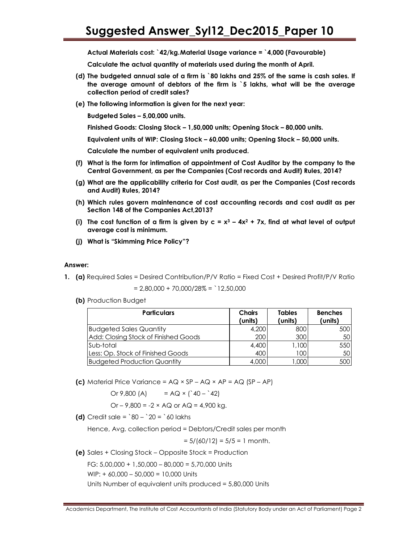Actual Materials cost: `42/kg. Material Usage variance = `4,000 (Favourable)

Calculate the actual quantity of materials used during the month of April.

- (d) The budgeted annual sale of a firm is `80 lakhs and 25% of the same is cash sales. If the average amount of debtors of the firm is `5 lakhs, what will be the average collection period of credit sales?
- (e) The following information is given for the next year:

Budgeted Sales – 5,00,000 units.

Finished Goods: Closing Stock – 1,50,000 units; Opening Stock – 80,000 units.

Equivalent units of WIP: Closing Stock – 60,000 units; Opening Stock – 50,000 units.

Calculate the number of equivalent units produced.

- (f) What is the form for intimation of appointment of Cost Auditor by the company to the Central Government, as per the Companies (Cost records and Audit) Rules, 2014?
- (g) What are the applicability criteria for Cost audit, as per the Companies (Cost records and Audit) Rules, 2014?
- (h) Which rules govern maintenance of cost accounting records and cost audit as per Section 148 of the Companies Act,2013?
- (i) The cost function of a firm is given by  $c = x^3 4x^2 + 7x$ , find at what level of output average cost is minimum.
- (j) What is "Skimming Price Policy"?

#### Answer:

1. (a) Required Sales = Desired Contribution/P/V Ratio = Fixed Cost + Desired Profit/P/V Ratio

 $= 2,80,000 + 70,000/28\% = 12,50,000$ 

(b) Production Budget

| <b>Particulars</b>                   | <b>Chairs</b><br>(units) | <b>Tables</b><br>(units) | <b>Benches</b><br>(units) |
|--------------------------------------|--------------------------|--------------------------|---------------------------|
| <b>Budgeted Sales Quantity</b>       | 4,200                    | 800                      | 500                       |
| Add: Closing Stock of Finished Goods | 200                      | 300                      | 50                        |
| lSub-total                           | 4,400                    | 1,100                    | 550                       |
| Less: Op. Stock of Finished Goods    | 400                      | 100                      | 50                        |
| <b>Budgeted Production Quantity</b>  | 4,000                    | ,000                     | 500                       |

(c) Material Price Variance =  $AQ \times SP - AQ \times AP = AQ$  (SP – AP)

Or 9,800 (A) =  $AQ \times$  (`40 – `42)

Or – 9,800 = -2  $\times$  AQ or AQ = 4,900 kg.

(d) Credit sale =  $80 - 20 = 60$  lakhs

Hence, Avg. collection period = Debtors/Credit sales per month

 $= 5/(60/12) = 5/5 = 1$  month.

(e) Sales + Closing Stock – Opposite Stock = Production

FG: 5,00,000 + 1,50,000 – 80,000 = 5,70,000 Units

WIP: + 60,000 – 50,000 = 10,000 Units

Units Number of equivalent units produced = 5,80,000 Units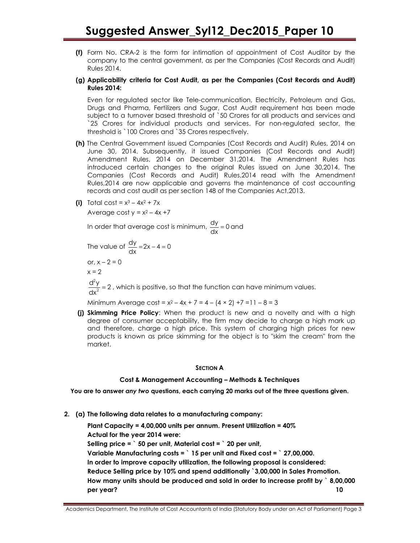(f) Form No. CRA-2 is the form for intimation of appointment of Cost Auditor by the company to the central government, as per the Companies (Cost Records and Audit) Rules 2014.

#### (g) Applicability criteria for Cost Audit, as per the Companies (Cost Records and Audit) Rules 2014:

Even for regulated sector like Tele-communication, Electricity, Petroleum and Gas, Drugs and Pharma, Fertilizers and Sugar, Cost Audit requirement has been made subject to a turnover based threshold of `50 Crores for all products and services and `25 Crores for individual products and services. For non-regulated sector, the threshold is `100 Crores and `35 Crores respectively.

- (h) The Central Government issued Companies (Cost Records and Audit) Rules, 2014 on June 30, 2014. Subsequently, it issued Companies (Cost Records and Audit) Amendment Rules, 2014 on December 31,2014. The Amendment Rules has introduced certain changes to the original Rules issued on June 30,2014. The Companies (Cost Records and Audit) Rules,2014 read with the Amendment Rules,2014 are now applicable and governs the maintenance of cost accounting records and cost audit as per section 148 of the Companies Act,2013.
- (i) Total cost =  $x^3 4x^2 + 7x$

Average cost  $y = x^2 - 4x + 7$ 

In order that average cost is minimum,  $\frac{dy}{dx} = 0$  and

The value of  $\frac{dy}{dx} = 2x - 4 = 0$ or,  $x - 2 = 0$  $x = 2$ 2

 $\frac{d^2y}{dx^2}$  = 2, which is positive, so that the function can have minimum values.

Minimum Average cost =  $x^2 - 4x + 7 = 4 - (4 \times 2) + 7 = 11 - 8 = 3$ 

(j) Skimming Price Policy: When the product is new and a novelty and with a high degree of consumer acceptability, the firm may decide to charge a high mark up and therefore, charge a high price. This system of charging high prices for new products is known as price skimming for the object is to "skim the cream" from the market.

#### SECTION A

#### Cost & Management Accounting – Methods & Techniques

You are to answer any two questions, each carrying 20 marks out of the three questions given.

2. (a) The following data relates to a manufacturing company:

Plant Capacity = 4,00,000 units per annum. Present Utilization = 40% Actual for the year 2014 were: Selling price  $=$   $\degree$  50 per unit, Material cost  $=$   $\degree$  20 per unit, Variable Manufacturing costs = ` 15 per unit and Fixed cost = ` 27,00,000. In order to improve capacity utilization, the following proposal is considered: Reduce Selling price by 10% and spend additionally `3,00,000 in Sales Promotion. How many units should be produced and sold in order to increase profit by ` 8,00,000 per year? 10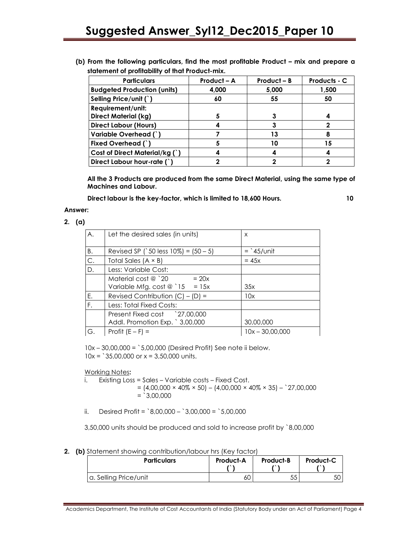| (b) From the following particulars, find the most profitable Product – mix and prepare a |  |  |  |  |
|------------------------------------------------------------------------------------------|--|--|--|--|
| statement of profitability of that Product-mix.                                          |  |  |  |  |

| <b>Particulars</b>                 | Product - A | $Product - B$ | Products - C |
|------------------------------------|-------------|---------------|--------------|
| <b>Budgeted Production (units)</b> | 4,000       | 5,000         | 1,500        |
| Selling Price/unit (`)             | 60          | 55            | 50           |
| Requirement/unit:                  |             |               |              |
| <b>Direct Material (kg)</b>        | 5           | 3             |              |
| <b>Direct Labour (Hours)</b>       |             | 3             |              |
| Variable Overhead (`)              |             | 13            |              |
| Fixed Overhead (`)                 |             | 10            | 15           |
| Cost of Direct Material/kg (`)     |             |               |              |
| Direct Labour hour-rate (`)        | າ           | າ             |              |

All the 3 Products are produced from the same Direct Material, using the same type of Machines and Labour.

Direct labour is the key-factor, which is limited to 18,600 Hours. 10

#### Answer:

2. (a)

| A. | Let the desired sales (in units)         | X                 |
|----|------------------------------------------|-------------------|
| B. | Revised SP (`50 less $10\%$ ) = $(50-5)$ | $=$ 45/unit       |
| C. | Total Sales $(A \times B)$               | $= 45x$           |
| D. | Less: Variable Cost:                     |                   |
|    | Material cost @ $^{\circ}$ 20<br>$= 20x$ |                   |
|    | Variable Mfg. cost $@$ `15 = 15x         | 35x               |
| Ε. | Revised Contribution $(C) - (D) =$       | 10x               |
| F. | Less: Total Fixed Costs:                 |                   |
|    | Present Fixed cost 27,00,000             |                   |
|    | Addl. Promotion Exp. ` 3,00,000          | 30,00,000         |
| G. | Profit $(E - F) =$                       | $10x - 30.00.000$ |

10x – 30,00,000 = `5,00,000 (Desired Profit) See note ii below.  $10x = 35,00,000$  or  $x = 3,50,000$  units.

Working Notes:

- i. Existing Loss = Sales Variable costs Fixed Cost.
	- $= (4,00,000 \times 40\% \times 50) (4,00,000 \times 40\% \times 35) -$  27,00,000  $=$  `3,00,000
- ii. Desired Profit =  $8,00,000 3,00,000 = 5,00,000$

3,50,000 units should be produced and sold to increase profit by `8,00,000

2. (b) Statement showing contribution/labour hrs (Key factor)

| <b>Particulars</b>    | <b>Product-A</b> | <b>Product-B</b> | <b>Product-C</b> |
|-----------------------|------------------|------------------|------------------|
| a. Selling Price/unit | 60               | 55               | 50               |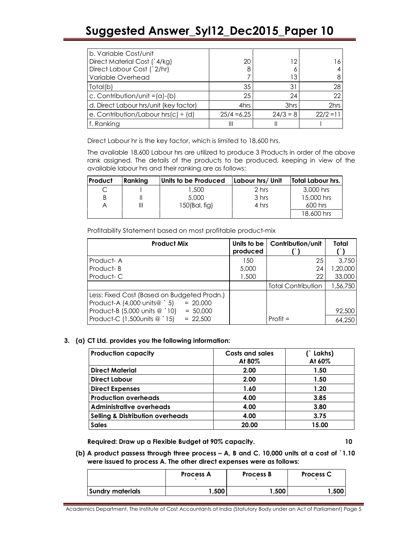| b. Variable Cost/unit                  |               |            |             |
|----------------------------------------|---------------|------------|-------------|
| Direct Material Cost (`4/kg)           | 20            | 12         |             |
| Direct Labour Cost (`2/hr)             | 8             |            |             |
| Variable Overhead                      |               | 13         |             |
| Total(b)                               | 35            | 31         | 28          |
| c. Contribution/unit = $(a) - (b)$     | 25            | 24         | 22          |
| d. Direct Labour hrs/unit (key factor) | 4hrs          | 3hrs       | 2hrs        |
| e. Contribution/Labour hrs(c) ÷ (d)    | $25/4 = 6.25$ | $24/3 = 8$ | $22/2 = 11$ |
| f. Ranking                             | Ш             |            |             |

Direct Labour hr is the key factor, which is limited to 18,600 hrs.

 The available 18,600 Labour hrs are utilized to produce 3 Products in order of the above rank assigned. The details of the products to be produced, keeping in view of the available labour hrs and their ranking are as follows:

| Product | Ranking | Units to be Produced | Labour hrs/ Unit | Total Labour hrs. |
|---------|---------|----------------------|------------------|-------------------|
|         |         | 1.500                | 2 hrs            | 3,000 hrs         |
| B       |         | 5,000                | 3 hrs            | 15,000 hrs        |
|         |         | 150(Bal, fig)        | 4 hrs            | $600$ hrs         |
|         |         |                      |                  | 18,600 hrs        |

Profitability Statement based on most profitable product-mix

| <b>Product Mix</b>                                                                       | Units to be<br>produced | Contribution/unit         | Total    |
|------------------------------------------------------------------------------------------|-------------------------|---------------------------|----------|
| Product-A                                                                                | 150                     | 25                        | 3.750    |
| Product-B                                                                                | 5,000                   | 24                        | 1,20,000 |
| Product-C                                                                                | 1,500                   | 22                        | 33,000   |
|                                                                                          |                         | <b>Total Contribution</b> | 1,56,750 |
| Less: Fixed Cost (Based on Budgeted Prodn.)<br>Product-A (4,000 units@ `5)<br>$= 20,000$ |                         |                           |          |
| Product-B (5,000 units @ `10)<br>$= 50,000$                                              |                         |                           | 92,500   |
| Product-C (1,500 units @ `15)<br>$= 22.500$                                              |                         | $Profit =$                | 64,250   |

#### 3. (a) CT Ltd. provides you the following information:

| <b>Production capacity</b>                  | <b>Costs and sales</b><br>At 80% | (`Lakhs)<br>At 60% |
|---------------------------------------------|----------------------------------|--------------------|
| <b>Direct Material</b>                      | 2.00                             | 1.50               |
| <b>Direct Labour</b>                        | 2.00                             | 1.50               |
| <b>Direct Expenses</b>                      | 1.60                             | 1.20               |
| <b>Production overheads</b>                 | 4.00                             | 3.85               |
| <b>Administrative overheads</b>             | 4.00                             | 3.80               |
| <b>Selling &amp; Distribution overheads</b> | 4.00                             | 3.75               |
| <b>Sales</b>                                | 20.00                            | 15.00              |

Required: Draw up a Flexible Budget at 90% capacity. 10

(b) A product passess through three process – A, B and C. 10,000 units at a cost of `1.10 were issued to process A. The other direct expenses were as follows:

|                  | Process A | Process B | Process C |
|------------------|-----------|-----------|-----------|
| Sundry materials | .500      | 500. ا    | .500      |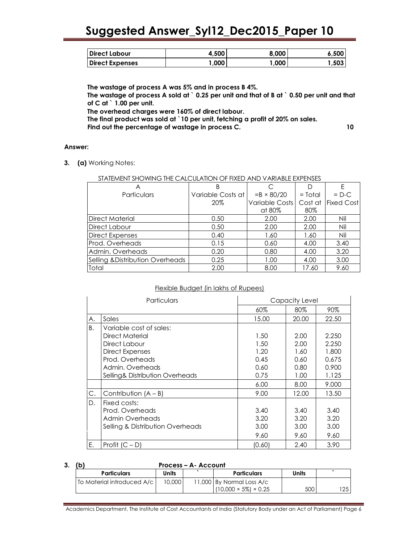| <b>Direct Labour</b>   | 4.500 | 8.000 | 6.500 |
|------------------------|-------|-------|-------|
| <b>Direct Expenses</b> | .000  | .000  | ,503  |

The wastage of process A was 5% and in process B 4%. The wastage of process A sold at  $\degree$  0.25 per unit and that of B at  $\degree$  0.50 per unit and that of C at ` 1.00 per unit. The overhead charges were 160% of direct labour. The final product was sold at `10 per unit, fetching a profit of 20% on sales. Find out the percentage of wastage in process C. 10

#### Answer:

3. (a) Working Notes:

#### STATEMENT SHOWING THE CALCULATION OF FIXED AND VARIABLE EXPENSES

|                                             | В                 |                   |           | Ε          |
|---------------------------------------------|-------------------|-------------------|-----------|------------|
| <b>Particulars</b>                          | Variable Costs at | $=B \times 80/20$ | $=$ Total | $= D-C$    |
|                                             | 20%               | Variable Costs    | Cost at   | Fixed Cost |
|                                             |                   | at 80%            | 80%       |            |
| Direct Material                             | 0.50              | 2.00              | 2.00      | Nil        |
| Direct Labour                               | 0.50              | 2.00              | 2.00      | Nil        |
| <b>Direct Expenses</b>                      | 0.40              | 1.60              | 1.60      | Nil        |
| Prod. Overheads                             | 0.15              | 0.60              | 4.00      | 3.40       |
| Admin. Overheads                            | 0.20              | 0.80              | 4.00      | 3.20       |
| <b>Selling &amp; Distribution Overheads</b> | 0.25              | 1.00              | 4.00      | 3.00       |
| Total                                       | 2.00              | 8.00              | 17.60     | 9.60       |

#### Flexible Budget (in lakhs of Rupees)

| Particulars |                                  |        | Capacity Level |       |
|-------------|----------------------------------|--------|----------------|-------|
|             |                                  | 60%    | 80%            | 90%   |
| А.          | Sales                            | 15.00  | 20.00          | 22.50 |
| Β.          | Variable cost of sales:          |        |                |       |
|             | Direct Material                  | 1.50   | 2.00           | 2.250 |
|             | Direct Labour                    | 1.50   | 2.00           | 2.250 |
|             | <b>Direct Expenses</b>           | 1.20   | 1.60           | 1.800 |
|             | Prod. Overheads                  | 0.45   | 0.60           | 0.675 |
|             | Admin. Overheads                 | 0.60   | 0.80           | 0.900 |
|             | Selling& Distribution Overheads  | 0.75   | 1.00           | 1.125 |
|             |                                  | 6.00   | 8.00           | 9.000 |
| С.          | Contribution $(A - B)$           | 9.00   | 12.00          | 13.50 |
| D.          | Fixed costs:                     |        |                |       |
|             | Prod. Overheads                  | 3.40   | 3.40           | 3.40  |
|             | Admin Overheads                  | 3.20   | 3.20           | 3.20  |
|             | Selling & Distribution Overheads | 3.00   | 3.00           | 3.00  |
|             |                                  | 9.60   | 9.60           | 9.60  |
| Е.          | Profit $(C - D)$                 | (0.60) | 2.40           | 3.90  |

| Process - A- Account       |              |  |                                   |              |     |  |
|----------------------------|--------------|--|-----------------------------------|--------------|-----|--|
| <b>Particulars</b>         | <b>Units</b> |  | <b>Particulars</b>                | <b>Units</b> |     |  |
| To Material introduced A/c | 10,000       |  | 11,000 By Normal Loss A/c         |              |     |  |
|                            |              |  | $(10.000 \times 5\%) \times 0.25$ | 500          | 125 |  |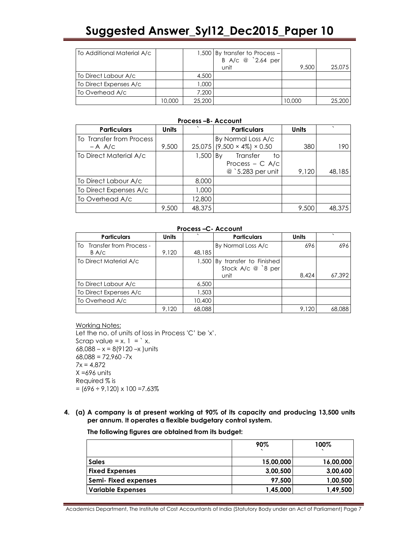| To Additional Material A/c |        |        | 1,500 By transfer to Process -<br>B A/c @ '2.64 per |        |        |
|----------------------------|--------|--------|-----------------------------------------------------|--------|--------|
|                            |        |        | unit                                                | 9,500  | 25,075 |
| To Direct Labour A/c       |        | 4,500  |                                                     |        |        |
| To Direct Expenses A/c     |        | 000.1  |                                                     |        |        |
| To Overhead A/c            |        | 7.200  |                                                     |        |        |
|                            | 10,000 | 25,200 |                                                     | 10.000 | 25,200 |

#### Process –B- Account

| <b>Particulars</b>       | <b>Units</b> |            | <b>Particulars</b>           | <b>Units</b> | $\cdot$ |
|--------------------------|--------------|------------|------------------------------|--------------|---------|
| To Transfer from Process |              |            | By Normal Loss A/c           |              |         |
| $- A A/C$                | 9,500        |            | $25,075$ (9,500 × 4%) × 0.50 | 380          | 190     |
| To Direct Material A/c   |              | $1,500$ By | Transfer<br>to               |              |         |
|                          |              |            | Process $- C A/c$            |              |         |
|                          |              |            | @ `5.283 per unit            | 9,120        | 48,185  |
| To Direct Labour A/c     |              | 8,000      |                              |              |         |
| To Direct Expenses A/c   |              | 1,000      |                              |              |         |
| To Overhead A/c          |              | 12,800     |                              |              |         |
|                          | 9,500        | 48,375     |                              | 9,500        | 48,375  |

#### Process –C- Account

| <b>Particulars</b>         | <b>Units</b> |        | <b>Particulars</b>            | <b>Units</b> |        |
|----------------------------|--------------|--------|-------------------------------|--------------|--------|
| To Transfer from Process - |              |        | By Normal Loss A/c            | 696          | 696    |
| B A/c                      | 9.120        | 48,185 |                               |              |        |
| To Direct Material A/c     |              |        | 1,500 By transfer to Finished |              |        |
|                            |              |        | Stock A/c @ `8 per            |              |        |
|                            |              |        | unit                          | 8.424        | 67.392 |
| To Direct Labour A/c       |              | 6,500  |                               |              |        |
| To Direct Expenses A/c     |              | 1,503  |                               |              |        |
| To Overhead A/c            |              | 10,400 |                               |              |        |
|                            | 9,120        | 68,088 |                               | 9,120        | 68,088 |

Working Notes:

Let the no. of units of loss in Process 'C' be 'x'. Scrap value =  $x$ .  $1 = x$ . 68,088 – x = 8(9120 –x )units  $68,088 = 72,960 -7x$  $7x = 4,872$  $X = 696$  units Required % is  $= (696 \div 9,120) \times 100 = 7.63\%$ 

4. (a) A company is at present working at 90% of its capacity and producing 13,500 units per annum. It operates a flexible budgetary control system.

The following figures are obtained from its budget:

|                             | 90%       | 100%      |
|-----------------------------|-----------|-----------|
| <b>Sales</b>                | 15,00,000 | 16,00,000 |
| <b>Fixed Expenses</b>       | 3,00,500  | 3,00,600  |
| <b>Semi- Fixed expenses</b> | 97,500    | 1,00,500  |
| <b>Variable Expenses</b>    | 1,45,000  | 1,49,500  |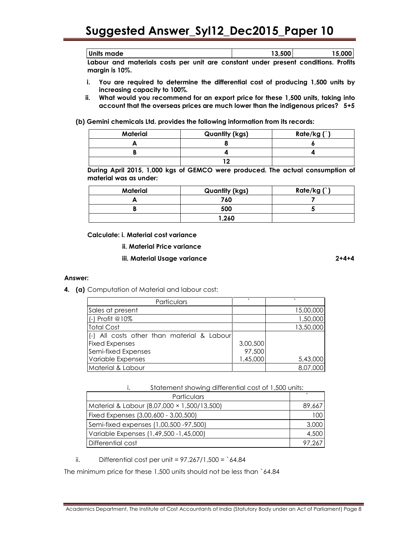| Units made                                                                         | 13.500 | 15,000 |
|------------------------------------------------------------------------------------|--------|--------|
| Labour and materials costs per unit are constant under present conditions. Profits |        |        |

margin is 10%.

- i. You are required to determine the differential cost of producing 1,500 units by increasing capacity to 100%.
- ii. What would you recommend for an export price for these 1,500 units, taking into account that the overseas prices are much lower than the indigenous prices? 5+5

(b) Gemini chemicals Ltd. provides the following information from its records:

| Material | <b>Quantity (kgs)</b> | Rate/kg $(')$ |
|----------|-----------------------|---------------|
|          |                       |               |
|          |                       |               |
|          |                       |               |

During April 2015, 1,000 kgs of GEMCO were produced. The actual consumption of material was as under:

| Material | <b>Quantity (kgs)</b> | Rate/kg $(')$ |
|----------|-----------------------|---------------|
|          | 760                   |               |
|          | 500                   |               |
|          | 1,260                 |               |

Calculate: i. Material cost variance

- ii. Material Price variance
- iii. Material Usage variance 2+4+4

#### Answer:

4. (a) Computation of Material and labour cost:

| Particulars                                |          |           |
|--------------------------------------------|----------|-----------|
| Sales at present                           |          | 15,00,000 |
| (-) Profit @10%                            |          | 1,50,000  |
| <b>Total Cost</b>                          |          | 13,50,000 |
| (-) All costs other than material & Labour |          |           |
| <b>Fixed Expenses</b>                      | 3,00,500 |           |
| Semi-fixed Expenses                        | 97,500   |           |
| Variable Expenses                          | 1,45,000 | 5,43,000  |
| Material & Labour                          |          | 8,07,000  |

i. Statement showing differential cost of 1,500 units:

| <b>Particulars</b>                          |        |
|---------------------------------------------|--------|
| Material & Labour (8,07,000 × 1,500/13,500) | 89,667 |
| Fixed Expenses (3,00,600 - 3,00,500)        | 100    |
| Semi-fixed expenses (1,00,500 -97,500)      | 3,000  |
| Variable Expenses (1,49,500 - 1,45,000)     | 4,500  |
| Differential cost                           | 97.267 |

ii. Differential cost per unit =  $97,267/1,500 = \text{°}64.84$ 

The minimum price for these 1,500 units should not be less than `64.84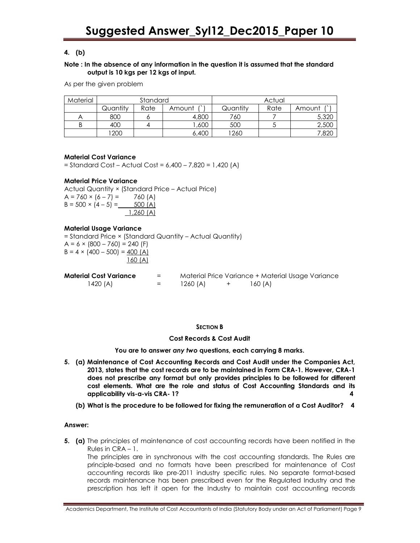### 4. (b)

#### Note : In the absence of any information in the question it is assumed that the standard output is 10 kgs per 12 kgs of input.

As per the given problem

| Material | Standard |      |        | Actual   |      |        |
|----------|----------|------|--------|----------|------|--------|
|          | Quantitv | Rate | Amount | Quantity | Rate | Amount |
|          | 800      |      | 4,800  | 760      |      | 5,320  |
|          | 400      |      | ,600   | 500      |      | 2,500  |
|          | 1200     |      | 6,400  | 1260     |      | ,820   |

#### Material Cost Variance

= Standard Cost – Actual Cost = 6,400 – 7,820 = 1,420 (A)

#### Material Price Variance

Actual Quantity × (Standard Price – Actual Price)  $A = 760 \times (6 - 7) = 760 (A)$  $B = 500 \times (4 - 5) = 500 (A)$ 1,260 (A)

#### Material Usage Variance

= Standard Price × (Standard Quantity – Actual Quantity)  $A = 6 \times (800 - 760) = 240$  (F)  $B = 4 \times (400 - 500) = 400 (A)$ 160 (A)

| <b>Material Cost Variance</b> | $=$ |          |         | Material Price Variance + Material Usage Variance |
|-------------------------------|-----|----------|---------|---------------------------------------------------|
| 1420 (A)                      | $=$ | 1260 (A) | 160 (A) |                                                   |

#### SECTION B

#### Cost Records & Cost Audit

You are to answer any two questions, each carrying 8 marks.

- 5. (a) Maintenance of Cost Accounting Records and Cost Audit under the Companies Act, 2013, states that the cost records are to be maintained in Form CRA-1. However, CRA-1 does not prescribe any format but only provides principles to be followed for different cost elements. What are the role and status of Cost Accounting Standards and its applicability vis-a-vis CRA- 1? 4
	- (b) What is the procedure to be followed for fixing the remuneration of a Cost Auditor? 4

#### Answer:

**5.** (a) The principles of maintenance of cost accounting records have been notified in the Rules in CRA – 1.

The principles are in synchronous with the cost accounting standards. The Rules are principle-based and no formats have been prescribed for maintenance of Cost accounting records like pre-2011 industry specific rules. No separate format-based records maintenance has been prescribed even for the Regulated Industry and the prescription has left it open for the Industry to maintain cost accounting records

Academics Department, The Institute of Cost Accountants of India (Statutory Body under an Act of Parliament) Page 9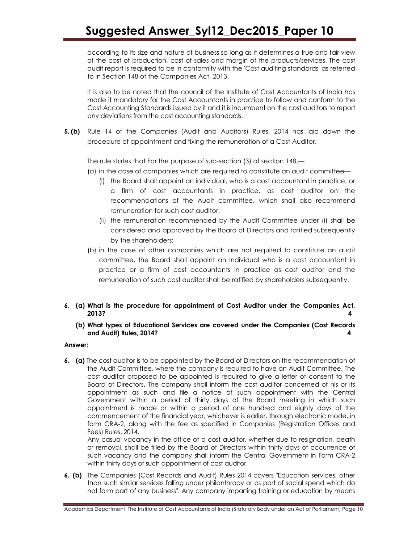according to its size and nature of business so long as it determines a true and fair view of the cost of production, cost of sales and margin of the products/services. The cost audit report is required to be in conformity with the 'Cost auditing standards' as referred to in Section 148 of the Companies Act, 2013.

 It is also to be noted that the council of the Institute of Cost Accountants of India has made it mandatory for the Cost Accountants in practice to follow and conform to the Cost Accounting Standards issued by it and it is incumbent on the cost auditors to report any deviations from the cost accounting standards.

5. (b) Rule 14 of the Companies (Audit and Auditors) Rules, 2014 has laid down the procedure of appointment and fixing the remuneration of a Cost Auditor.

The rule states that For the purpose of sub-section (3) of section 148,—

- (a) in the case of companies which are required to constitute an audit committee—
	- (i) the Board shall appoint an individual, who is a cost accountant in practice, or a firm of cost accountants in practice, as cost auditor on the recommendations of the Audit committee, which shall also recommend remuneration for such cost auditor;
	- (ii) the remuneration recommended by the Audit Committee under (i) shall be considered and approved by the Board of Directors and ratified subsequently by the shareholders;
- (b) in the case of other companies which are not required to constitute an audit committee, the Board shall appoint an individual who is a cost accountant in practice or a firm of cost accountants in practice as cost auditor and the remuneration of such cost auditor shall be ratified by shareholders subsequently.
- 6. (a) What is the procedure for appointment of Cost Auditor under the Companies Act, 2013? 4
	- (b) What types of Educational Services are covered under the Companies (Cost Records and Audit) Rules, 2014? 4

#### Answer:

6. (a) The cost auditor is to be appointed by the Board of Directors on the recommendation of the Audit Committee, where the company is required to have an Audit Committee. The cost auditor proposed to be appointed is required to give a letter of consent to the Board of Directors. The company shall inform the cost auditor concerned of his or its appointment as such and file a notice of such appointment with the Central Government within a period of thirty days of the Board meeting in which such appointment is made or within a period of one hundred and eighty days of the commencement of the financial year, whichever is earlier, through electronic mode, in form CRA-2, along with the fee as specified in Companies (Registration Offices and Fees) Rules, 2014.

 Any casual vacancy in the office of a cost auditor, whether due to resignation, death or removal, shall be filled by the Board of Directors within thirty days of occurrence of such vacancy and the company shall inform the Central Government in Form CRA-2 within thirty days of such appointment of cost auditor.

6. (b) The Companies (Cost Records and Audit) Rules 2014 covers "Education services, other than such similar services falling under philanthropy or as part of social spend which do not form part of any business". Any company imparting training or education by means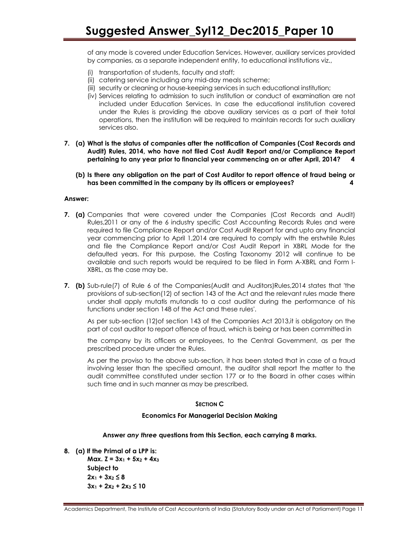of any mode is covered under Education Services. However, auxiliary services provided by companies, as a separate independent entity, to educational institutions viz.,

- (i) transportation of students, faculty and staff;
- (ii) catering service including any mid-day meals scheme;
- (iii) security or cleaning or house-keeping services in such educational institution;
- (iv) Services relating to admission to such institution or conduct of examination are not included under Education Services. In case the educational institution covered under the Rules is providing the above auxiliary services as a part of their total operations, then the institution will be required to maintain records for such auxiliary services also.
- 7. (a) What is the status of companies after the notification of Companies (Cost Records and Audit) Rules, 2014, who have not filed Cost Audit Report and/or Compliance Report pertaining to any year prior to financial year commencing on or after April, 2014? 4
	- (b) Is there any obligation on the part of Cost Auditor to report offence of fraud being or has been committed in the company by its officers or employees? 4

#### Answer:

- 7. (a) Companies that were covered under the Companies (Cost Records and Audit) Rules,2011 or any of the 6 industry specific Cost Accounting Records Rules and were required to file Compliance Report and/or Cost Audit Report for and upto any financial year commencing prior to April 1,2014 are required to comply with the erstwhile Rules and file the Compliance Report and/or Cost Audit Report in XBRL Mode for the defaulted years. For this purpose, the Costing Taxonomy 2012 will continue to be available and such reports would be required to be filed in Form A-XBRL and Form I-XBRL, as the case may be.
- 7. (b) Sub-rule(7) of Rule 6 of the Companies(Audit and Auditors)Rules, 2014 states that 'the provisions of sub-section(12) of section 143 of the Act and the relevant rules made there under shall apply mutatis mutandis to a cost auditor during the performance of his functions under section 148 of the Act and these rules'.

As per sub-section (12)of section 143 of the Companies Act 2013,it is obligatory on the part of cost auditor to report offence of fraud, which is being or has been committed in

the company by its officers or employees, to the Central Government, as per the prescribed procedure under the Rules.

As per the proviso to the above sub-section, it has been stated that in case of a fraud involving lesser than the specified amount, the auditor shall report the matter to the audit committee constituted under section 177 or to the Board in other cases within such time and in such manner as may be prescribed.

#### SECTION C

#### Economics For Managerial Decision Making

#### Answer any three questions from this Section, each carrying 8 marks.

8. (a) If the Primal of a LPP is:

Max.  $Z = 3x_1 + 5x_2 + 4x_3$ Subject to  $2x_1 + 3x_2 \leq 8$  $3x_1 + 2x_2 + 2x_3 \le 10$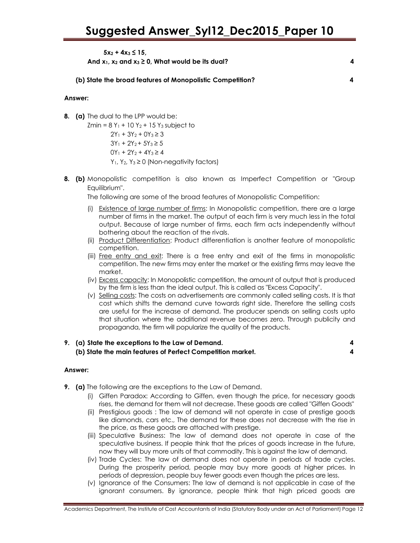### $5x_2 + 4x_3 \leq 15$

And  $x_1, x_2$  and  $x_3 \ge 0$ . What would be its dual? 4

(b) State the broad features of Monopolistic Competition? 4

#### Answer:

8. (a) The dual to the LPP would be:

 $Zmin = 8 Y_1 + 10 Y_2 + 15 Y_3$  subject to

 $2Y_1 + 3Y_2 + 0Y_3 \ge 3$  $3Y_1 + 2Y_2 + 5Y_3 \ge 5$  $0Y_1 + 2Y_2 + 4Y_3 \ge 4$  $Y_1$ ,  $Y_2$ ,  $Y_3 \ge 0$  (Non-negativity factors)

**8. (b)** Monopolistic competition is also known as Imperfect Competition or "Group Equilibrium".

The following are some of the broad features of Monopolistic Competition:

- (i) Existence of large number of firms: In Monopolistic competition, there are a large number of firms in the market. The output of each firm is very much less in the total output. Because of large number of firms, each firm acts independently without bothering about the reaction of the rivals.
- (ii) Product Differentiation: Product differentiation is another feature of monopolistic competition.
- (iii) Free entry and exit: There is a free entry and exit of the firms in monopolistic competition. The new firms may enter the market or the existing firms may leave the market.
- (iv) Excess capacity: In Monopolistic competition, the amount of output that is produced by the firm is less than the ideal output. This is called as "Excess Capacity".
- (v) Selling costs: The costs on advertisements are commonly called selling costs. It is that cost which shifts the demand curve towards right side. Therefore the selling costs are useful for the increase of demand. The producer spends on selling costs upto that situation where the additional revenue becomes zero. Through publicity and propaganda, the firm will popularize the quality of the products.

| 9. (a) State the exceptions to the Law of Demand.          |  |
|------------------------------------------------------------|--|
| (b) State the main features of Perfect Competition market. |  |

#### Answer:

- **9.** (a) The following are the exceptions to the Law of Demand.
	- (i) Giffen Paradox: According to Giffen, even though the price, for necessary goods rises, the demand for them will not decrease. These goods are called "Giffen Goods"
	- (ii) Prestigious goods : The law of demand will not operate in case of prestige goods like diamonds, cars etc., The demand for these does not decrease with the rise in the price, as these goods are attached with prestige.
	- (iii) Speculative Business: The law of demand does not operate in case of the speculative business. If people think that the prices of goods increase in the future, now they will buy more units of that commodity. This is against the law of demand.
	- (iv) Trade Cycles: The law of demand does not operate in periods of trade cycles. During the prosperity period, people may buy more goods at higher prices. In periods of depression, people buy fewer goods even though the prices are less.
	- (v) Ignorance of the Consumers: The law of demand is not applicable in case of the ignorant consumers. By ignorance, people think that high priced goods are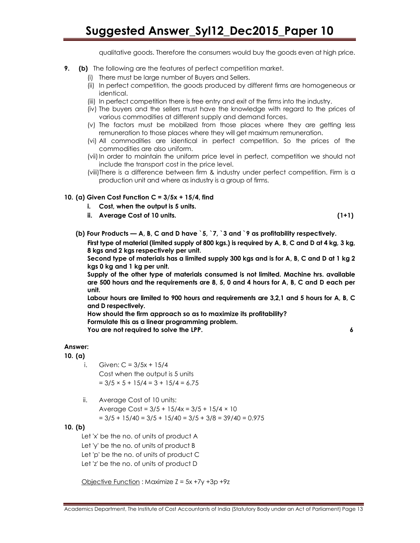qualitative goods. Therefore the consumers would buy the goods even at high price.

- **9.** (b) The following are the features of perfect competition market.
	- (i) There must be large number of Buyers and Sellers.
	- (ii) In perfect competition, the goods produced by different firms are homogeneous or identical.
	- (iii) In perfect competition there is free entry and exit of the firms into the industry.
	- (iv) The buyers and the sellers must have the knowledge with regard to the prices of various commodities at different supply and demand forces.
	- (v) The factors must be mobilized from those places where they are getting less remuneration to those places where they will get maximum remuneration.
	- (vi) All commodities are identical in perfect competition. So the prices of the commodities are also uniform.
	- (vii) In order to maintain the uniform price level in perfect, competition we should not include the transport cost in the price level.
	- (viii)There is a difference between firm & industry under perfect competition. Firm is a production unit and where as industry is a group of firms.

#### 10. (a) Given Cost Function  $C = 3/5x + 15/4$ , find

- i. Cost, when the output is 5 units.
- ii. Average Cost of 10 units. (1+1)

(b) Four Products — A, B, C and D have  $5, 7, 3$  and  $9$  as profitability respectively.

First type of material (limited supply of 800 kgs.) is required by A, B, C and D at 4 kg, 3 kg, 8 kgs and 2 kgs respectively per unit.

Second type of materials has a limited supply 300 kgs and is for A, B, C and D at 1 kg 2 kgs 0 kg and 1 kg per unit.

Supply of the other type of materials consumed is not limited. Machine hrs. available are 500 hours and the requirements are 8, 5, 0 and 4 hours for A, B, C and D each per unit.

Labour hours are limited to 900 hours and requirements are 3,2,1 and 5 hours for A, B, C and D respectively.

How should the firm approach so as to maximize its profitability? Formulate this as a linear programming problem. You are not required to solve the LPP. 6

#### Answer:

10. (a)

- i. Given:  $C = 3/5x + 15/4$ Cost when the output is 5 units  $= 3/5 \times 5 + 15/4 = 3 + 15/4 = 6.75$
- ii. Average Cost of 10 units: Average Cost =  $3/5 + 15/4x = 3/5 + 15/4 \times 10$  $= 3/5 + 15/40 = 3/5 + 15/40 = 3/5 + 3/8 = 39/40 = 0.975$

#### 10. (b)

Let 'x' be the no. of units of product A Let 'y' be the no. of units of product B Let 'p' be the no. of units of product C Let 'z' be the no. of units of product D

Objective Function : Maximize  $Z = 5x +7y +3p +9z$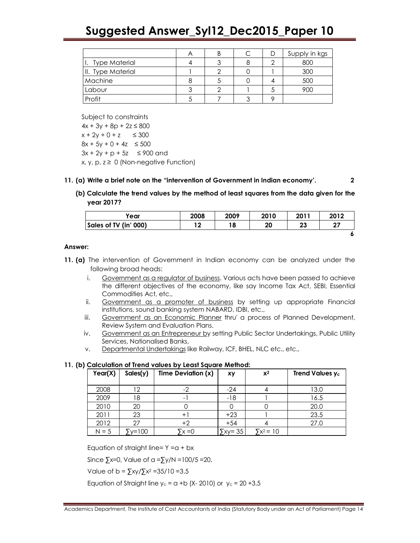|                   | ⌒ |  | Supply in kgs |
|-------------------|---|--|---------------|
| I. Type Material  |   |  | 800           |
| II. Type Material |   |  | 300           |
| Machine           |   |  | 500           |
| Labour            |   |  | 900           |
| Profit            |   |  |               |

Subject to constraints  $4x + 3y + 8p + 2z \le 800$  $x + 2y + 0 + z \leq 300$  $8x + 5y + 0 + 4z \le 500$  $3x + 2y + p + 5z \le 900$  and  $x, y, p, z \ge 0$  (Non-negative Function)

#### 11. (a) Write a brief note on the "intervention of Government in Indian economy'. 2

(b) Calculate the trend values by the method of least squares from the data given for the year 2017?

| Year                  | 2008       | 2009 | 2010 | 2011 | 2012    |
|-----------------------|------------|------|------|------|---------|
| Sales of TV (in' 000) | 1 ^<br>! ∠ |      | 20   | 23   | דר<br>4 |
|                       |            |      |      |      |         |

#### Answer:

- 11. (a) The intervention of Government in Indian economy can be analyzed under the following broad heads:
	- i. Government as a regulator of business. Various acts have been passed to achieve the different objectives of the economy, like say Income Tax Act, SEBI, Essential Commodities Act, etc.,
	- ii. Government as a promoter of business by setting up appropriate Financial institutions, sound banking system NABARD, IDBI, etc.,
	- iii. Government as an Economic Planner thru' a process of Planned Development, Review System and Evaluation Plans.
	- iv. Government as an Entrepreneur by setting Public Sector Undertakings, Public Utility Services, Nationalised Banks,
	- v. Departmental Undertakings like Railway, ICF, BHEL, NLC etc., etc.,

#### 11. (b) Calculation of Trend values by Least Square Method:

| Year(X) | Sales(y) | Time Deviation (x) | xy             | $x^2$             | Trend Values y <sub>c</sub> |
|---------|----------|--------------------|----------------|-------------------|-----------------------------|
| 2008    | 12       |                    | -24            |                   | 13.0                        |
| 2009    | 18       | -                  | $-18$          |                   | 16.5                        |
| 2010    | 20       |                    |                |                   | 20.0                        |
| 2011    | 23       | $+$                | $+23$          |                   | 23.5                        |
| 2012    | 27       | $+2$               | $+54$          |                   | 27.0                        |
| $N = 5$ | y=100    | $\bar{x}$ x =0     | $\sum xy = 35$ | $\Sigma x^2 = 10$ |                             |

Equation of straight line=  $Y = a + bx$ 

Since  $\sum x=0$ , Value of a = $\sum y/N = 100/5 = 20$ .

Value of  $b = \frac{5x}{\sqrt{2}} \times 2 = 35/10 = 3.5$ 

Equation of Straight line  $y_c = a +b$  (X-2010) or  $y_c = 20 +3.5$